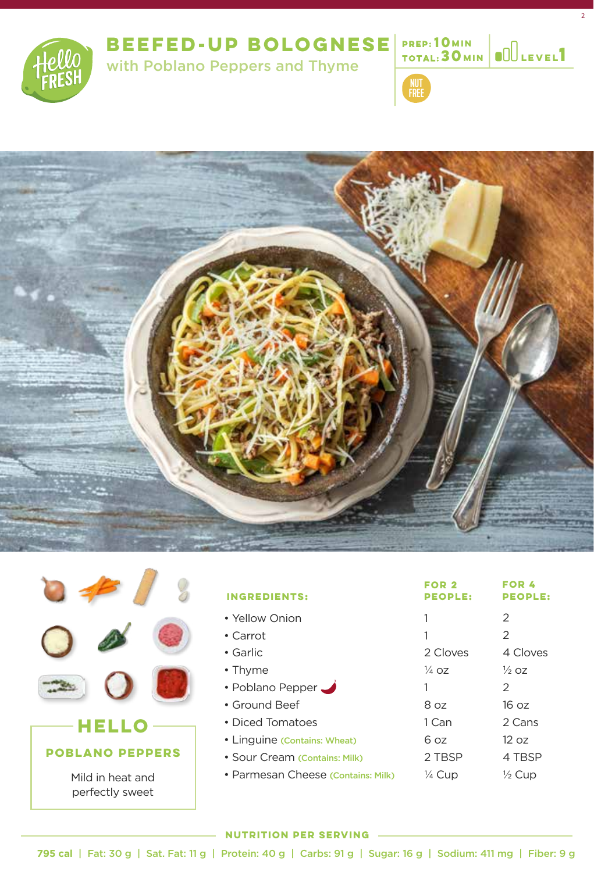

# **BEEFED-UP BOLOGNESE**

with Poblano Peppers and Thyme **<sup>1</sup>**



**10 MIN TOTAL: 30 MIN**  2

**MIN Level**





| <b>INGREDIENTS:</b>                | FOR <sub>2</sub><br><b>PEOPLE:</b> | <b>FOR 4</b><br><b>PEOPLE:</b> |
|------------------------------------|------------------------------------|--------------------------------|
| • Yellow Onion                     | 1                                  | $\mathcal{P}$                  |
| $\cdot$ Carrot                     | 1                                  | 2                              |
| $\bullet$ Garlic                   | 2 Cloves                           | 4 Cloves                       |
| $\cdot$ Thyme                      | $\frac{1}{4}$ 07                   | $\frac{1}{2}$ 07               |
| • Poblano Pepper                   | 1                                  | 2                              |
| • Ground Beef                      | 8.07                               | 16.07                          |
| • Diced Tomatoes                   | 1 Can                              | 2 Cans                         |
| • Linguine (Contains: Wheat)       | 6 oz                               | 12 oz                          |
| • Sour Cream (Contains: Milk)      | 2 TBSP                             | 4 TBSP                         |
| • Parmesan Cheese (Contains: Milk) | $\frac{1}{4}$ Cup                  | $\frac{1}{2}$ Cup              |

### **NUTRITION PER SERVING**